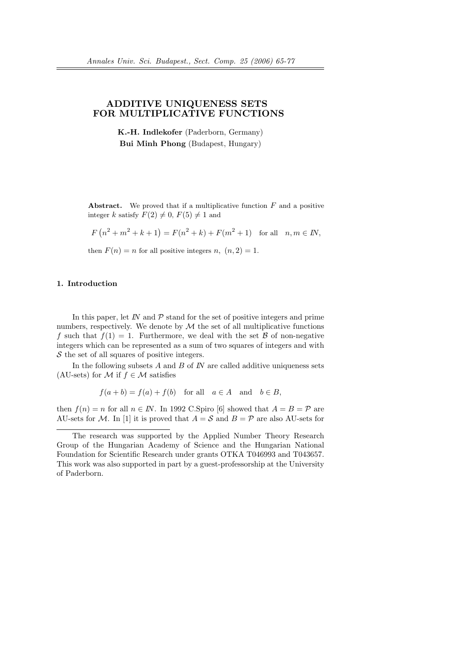# ADDITIVE UNIQUENESS SETS FOR MULTIPLICATIVE FUNCTIONS

K.-H. Indlekofer (Paderborn, Germany) Bui Minh Phong (Budapest, Hungary)

**Abstract.** We proved that if a multiplicative function  $F$  and a positive integer k satisfy  $F(2) \neq 0$ ,  $F(5) \neq 1$  and

$$
F(n^{2} + m^{2} + k + 1) = F(n^{2} + k) + F(m^{2} + 1) \text{ for all } n, m \in \mathbb{N},
$$

then  $F(n) = n$  for all positive integers n,  $(n, 2) = 1$ .

# 1. Introduction

In this paper, let IN and  $\mathcal P$  stand for the set of positive integers and prime numbers, respectively. We denote by  $\mathcal M$  the set of all multiplicative functions f such that  $f(1) = 1$ . Furthermore, we deal with the set B of non-negative integers which can be represented as a sum of two squares of integers and with  $S$  the set of all squares of positive integers.

In the following subsets  $A$  and  $B$  of  $N$  are called additive uniqueness sets (AU-sets) for M if  $f \in \mathcal{M}$  satisfies

$$
f(a+b) = f(a) + f(b) \quad \text{for all} \quad a \in A \quad \text{and} \quad b \in B,
$$

then  $f(n) = n$  for all  $n \in \mathbb{N}$ . In 1992 C. Spiro [6] showed that  $A = B = \mathcal{P}$  are AU-sets for M. In [1] it is proved that  $A = S$  and  $B = P$  are also AU-sets for

The research was supported by the Applied Number Theory Research Group of the Hungarian Academy of Science and the Hungarian National Foundation for Scientific Research under grants OTKA T046993 and T043657. This work was also supported in part by a guest-professorship at the University of Paderborn.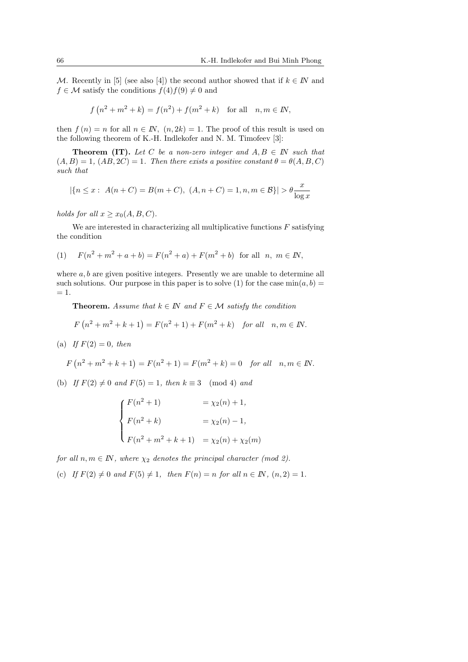M. Recently in [5] (see also [4]) the second author showed that if  $k \in \mathbb{N}$  and  $f \in \mathcal{M}$  satisfy the conditions  $f(4) f(9) \neq 0$  and

$$
f(n^2 + m^2 + k) = f(n^2) + f(m^2 + k)
$$
 for all  $n, m \in \mathbb{N}$ ,

then  $f(n) = n$  for all  $n \in \mathbb{N}$ ,  $(n, 2k) = 1$ . The proof of this result is used on the following theorem of K.-H. Indlekofer and N. M. Timofeev [3]:

**Theorem (IT).** Let C be a non-zero integer and  $A, B \in \mathbb{N}$  such that  $(A, B) = 1$ ,  $(AB, 2C) = 1$ . Then there exists a positive constant  $\theta = \theta(A, B, C)$ such that

$$
|\{n \le x : A(n+C) = B(m+C), (A, n+C) = 1, n, m \in \mathcal{B}\}| > \theta \frac{x}{\log x}
$$

holds for all  $x \geq x_0(A, B, C)$ .

We are interested in characterizing all multiplicative functions  $F$  satisfying the condition

(1) 
$$
F(n^2 + m^2 + a + b) = F(n^2 + a) + F(m^2 + b)
$$
 for all  $n, m \in \mathbb{N}$ ,

where  $a, b$  are given positive integers. Presently we are unable to determine all such solutions. Our purpose in this paper is to solve (1) for the case  $min(a, b)$  =  $= 1.$ 

**Theorem.** Assume that  $k \in \mathbb{N}$  and  $F \in \mathcal{M}$  satisfy the condition

$$
F(n^2 + m^2 + k + 1) = F(n^2 + 1) + F(m^2 + k) \text{ for all } n, m \in \mathbb{N}.
$$

(a) If  $F(2) = 0$ , then

$$
F(n2 + m2 + k + 1) = F(n2 + 1) = F(m2 + k) = 0 \text{ for all } n, m \in \mathbb{N}.
$$

(b) If  $F(2) \neq 0$  and  $F(5) = 1$ , then  $k \equiv 3 \pmod{4}$  and

$$
\begin{cases}\nF(n^2+1) & = \chi_2(n) + 1, \\
F(n^2+k) & = \chi_2(n) - 1, \\
F(n^2 + m^2 + k + 1) & = \chi_2(n) + \chi_2(m)\n\end{cases}
$$

for all  $n, m \in \mathbb{N}$ , where  $\chi_2$  denotes the principal character (mod 2).

(c) If  $F(2) \neq 0$  and  $F(5) \neq 1$ , then  $F(n) = n$  for all  $n \in \mathbb{N}$ ,  $(n, 2) = 1$ .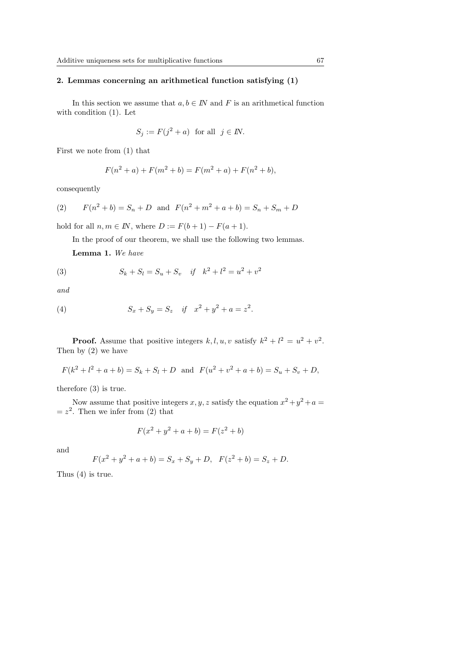# 2. Lemmas concerning an arithmetical function satisfying (1)

In this section we assume that  $a, b \in \mathbb{N}$  and F is an arithmetical function with condition (1). Let

$$
S_j := F(j^2 + a) \text{ for all } j \in I\!N.
$$

First we note from (1) that

$$
F(n2 + a) + F(m2 + b) = F(m2 + a) + F(n2 + b),
$$

consequently

(2) 
$$
F(n^2 + b) = S_n + D
$$
 and  $F(n^2 + m^2 + a + b) = S_n + S_m + D$ 

hold for all  $n, m \in \mathbb{N}$ , where  $D := F(b+1) - F(a+1)$ .

In the proof of our theorem, we shall use the following two lemmas.

Lemma 1. We have

(3) 
$$
S_k + S_l = S_u + S_v \quad \text{if} \quad k^2 + l^2 = u^2 + v^2
$$

and

(4) 
$$
S_x + S_y = S_z \quad \text{if} \quad x^2 + y^2 + a = z^2.
$$

**Proof.** Assume that positive integers  $k, l, u, v$  satisfy  $k^2 + l^2 = u^2 + v^2$ . Then by (2) we have

$$
F(k2 + l2 + a + b) = Sk + Sl + D \text{ and } F(u2 + v2 + a + b) = Su + Sv + D,
$$

therefore (3) is true.

Now assume that positive integers  $x, y, z$  satisfy the equation  $x^2 + y^2 + a =$  $= z<sup>2</sup>$ . Then we infer from (2) that

$$
F(x^2 + y^2 + a + b) = F(z^2 + b)
$$

and

$$
F(x^{2} + y^{2} + a + b) = S_{x} + S_{y} + D, \quad F(z^{2} + b) = S_{z} + D.
$$

Thus (4) is true.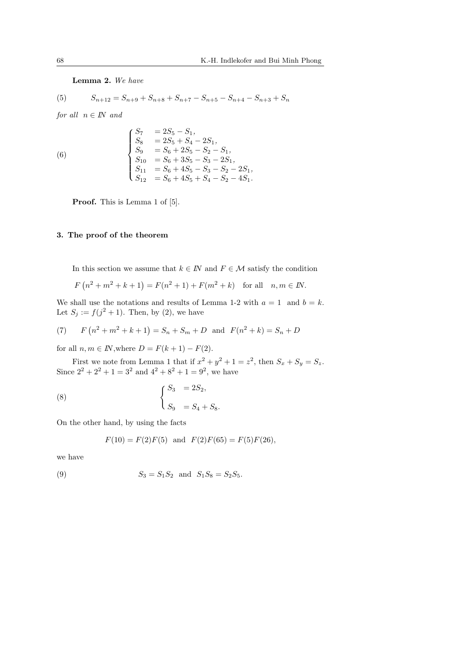#### Lemma 2. We have

(5) 
$$
S_{n+12} = S_{n+9} + S_{n+8} + S_{n+7} - S_{n+5} - S_{n+4} - S_{n+3} + S_n
$$

for all  $n \in \mathbb{N}$  and

(6) 
$$
\begin{cases}\nS_7 &= 2S_5 - S_1, \\
S_8 &= 2S_5 + S_4 - 2S_1, \\
S_9 &= S_6 + 2S_5 - S_2 - S_1, \\
S_{10} &= S_6 + 3S_5 - S_3 - 2S_1, \\
S_{11} &= S_6 + 4S_5 - S_3 - S_2 - 2S_1, \\
S_{12} &= S_6 + 4S_5 + S_4 - S_2 - 4S_1.\n\end{cases}
$$

Proof. This is Lemma 1 of [5].

# 3. The proof of the theorem

In this section we assume that  $k \in \mathbb{N}$  and  $F \in \mathcal{M}$  satisfy the condition

$$
F(n2 + m2 + k + 1) = F(n2 + 1) + F(m2 + k) \text{ for all } n, m \in \mathbb{N}.
$$

We shall use the notations and results of Lemma 1-2 with  $a = 1$  and  $b = k$ . Let  $S_j := f(j^2 + 1)$ . Then, by (2), we have

(7) 
$$
F(n^2 + m^2 + k + 1) = S_n + S_m + D
$$
 and  $F(n^2 + k) = S_n + D$ 

for all  $n, m \in \mathbb{N}$ , where  $D = F(k+1) - F(2)$ .

First we note from Lemma 1 that if  $x^2 + y^2 + 1 = z^2$ , then  $S_x + S_y = S_z$ . Since  $2^2 + 2^2 + 1 = 3^2$  and  $4^2 + 8^2 + 1 = 9^2$ , we have

(8) 
$$
\begin{cases} S_3 = 2S_2, \\ S_9 = S_4 + S_8. \end{cases}
$$

On the other hand, by using the facts

$$
F(10) = F(2)F(5)
$$
 and  $F(2)F(65) = F(5)F(26)$ ,

we have

(9) 
$$
S_3 = S_1 S_2 \text{ and } S_1 S_8 = S_2 S_5.
$$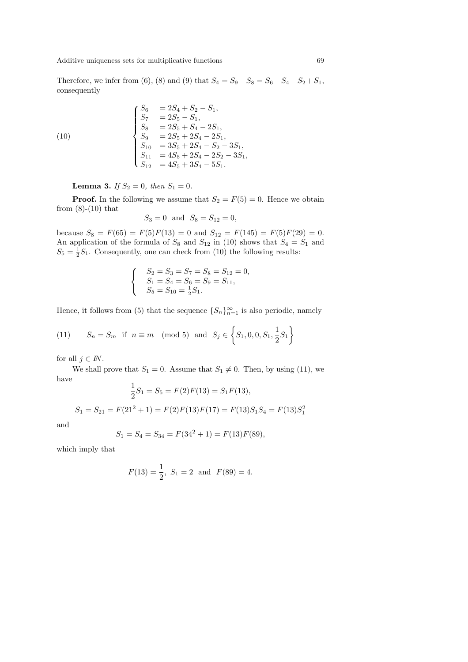Therefore, we infer from (6), (8) and (9) that  $S_4 = S_9 - S_8 = S_6 - S_4 - S_2 + S_1$ , consequently

(10)  
\n
$$
\begin{cases}\nS_6 &= 2S_4 + S_2 - S_1, \\
S_7 &= 2S_5 - S_1, \\
S_8 &= 2S_5 + S_4 - 2S_1, \\
S_9 &= 2S_5 + 2S_4 - 2S_1, \\
S_{10} &= 3S_5 + 2S_4 - S_2 - 3S_1, \\
S_{11} &= 4S_5 + 2S_4 - 2S_2 - 3S_1, \\
S_{12} &= 4S_5 + 3S_4 - 5S_1.\n\end{cases}
$$

**Lemma 3.** If  $S_2 = 0$ , then  $S_1 = 0$ .

**Proof.** In the following we assume that  $S_2 = F(5) = 0$ . Hence we obtain from  $(8)-(10)$  that

$$
S_3 = 0
$$
 and  $S_8 = S_{12} = 0$ ,

because  $S_8 = F(65) = F(5)F(13) = 0$  and  $S_{12} = F(145) = F(5)F(29) = 0$ . An application of the formula of  $S_8$  and  $S_{12}$  in (10) shows that  $S_4 = S_1$  and  $S_5 = \frac{1}{2}S_1$ . Consequently, one can check from (10) the following results:

$$
\begin{cases}\nS_2 = S_3 = S_7 = S_8 = S_{12} = 0, \\
S_1 = S_4 = S_6 = S_9 = S_{11}, \\
S_5 = S_{10} = \frac{1}{2}S_1.\n\end{cases}
$$

Hence, it follows from (5) that the sequence  ${S_n}_{n=1}^{\infty}$  is also periodic, namely

(11) 
$$
S_n = S_m
$$
 if  $n \equiv m \pmod{5}$  and  $S_j \in \left\{ S_1, 0, 0, S_1, \frac{1}{2}S_1 \right\}$ 

for all  $j \in I\!N$ .

We shall prove that  $S_1 = 0$ . Assume that  $S_1 \neq 0$ . Then, by using (11), we have

$$
\frac{1}{2}S_1 = S_5 = F(2)F(13) = S_1F(13),
$$

 $S_1 = S_{21} = F(21^2 + 1) = F(2)F(13)F(17) = F(13)S_1S_4 = F(13)S_1<sup>2</sup>$ 

and

$$
S_1 = S_4 = S_{34} = F(34^2 + 1) = F(13)F(89),
$$

which imply that

$$
F(13) = \frac{1}{2}
$$
,  $S_1 = 2$  and  $F(89) = 4$ .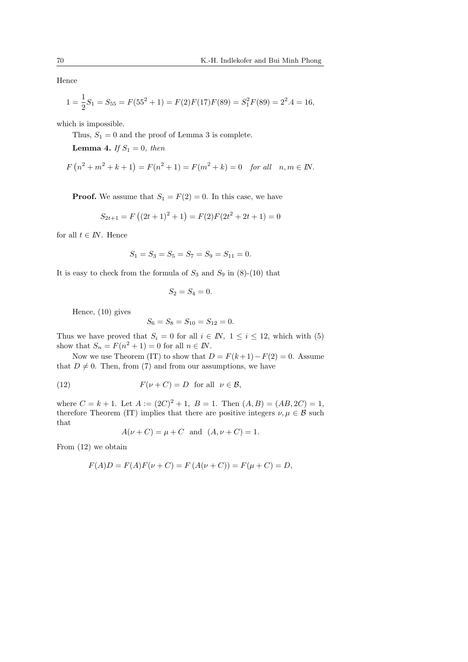Hence

$$
1 = \frac{1}{2}S_1 = S_{55} = F(55^2 + 1) = F(2)F(17)F(89) = S_1^2F(89) = 2^2.4 = 16,
$$

which is impossible.

Thus,  $S_1 = 0$  and the proof of Lemma 3 is complete.

**Lemma 4.** If  $S_1 = 0$ , then

$$
F(n2 + m2 + k + 1) = F(n2 + 1) = F(m2 + k) = 0 \text{ for all } n, m \in \mathbb{N}.
$$

**Proof.** We assume that  $S_1 = F(2) = 0$ . In this case, we have

$$
S_{2t+1} = F((2t+1)^2 + 1) = F(2)F(2t^2 + 2t + 1) = 0
$$

for all  $t \in I\!N$ . Hence

$$
S_1 = S_3 = S_5 = S_7 = S_9 = S_{11} = 0.
$$

It is easy to check from the formula of  $S_3$  and  $S_9$  in (8)-(10) that

$$
S_2 = S_4 = 0.
$$

Hence, (10) gives

$$
S_6 = S_8 = S_{10} = S_{12} = 0.
$$

Thus we have proved that  $S_i = 0$  for all  $i \in \mathbb{N}$ ,  $1 \leq i \leq 12$ , which with (5) show that  $S_n = F(n^2 + 1) = 0$  for all  $n \in \mathbb{N}$ .

Now we use Theorem (IT) to show that  $D = F(k+1) - F(2) = 0$ . Assume that  $D \neq 0$ . Then, from (7) and from our assumptions, we have

(12) 
$$
F(\nu + C) = D \text{ for all } \nu \in \mathcal{B},
$$

where  $C = k + 1$ . Let  $A := (2C)^2 + 1$ ,  $B = 1$ . Then  $(A, B) = (AB, 2C) = 1$ , therefore Theorem (IT) implies that there are positive integers  $\nu, \mu \in \mathcal{B}$  such that

$$
A(\nu + C) = \mu + C
$$
 and  $(A, \nu + C) = 1$ .

From (12) we obtain

$$
F(A)D = F(A)F(\nu + C) = F(A(\nu + C)) = F(\mu + C) = D,
$$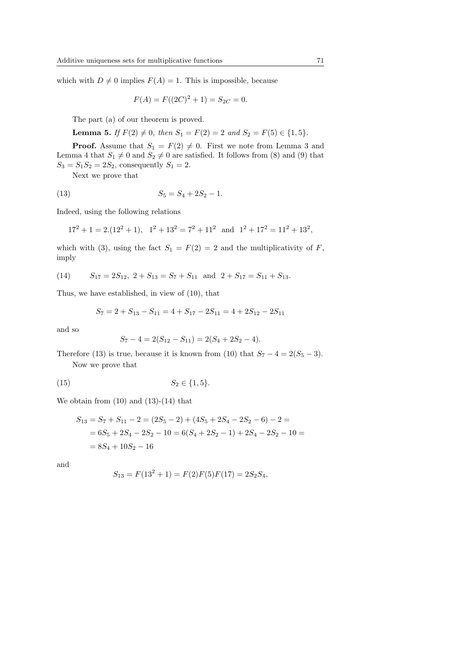which with  $D \neq 0$  implies  $F(A) = 1$ . This is impossible, because

$$
F(A) = F((2C)^{2} + 1) = S_{2C} = 0.
$$

The part (a) of our theorem is proved.

Lemma 5. If  $F(2) \neq 0$ , then  $S_1 = F(2) = 2$  and  $S_2 = F(5) \in \{1, 5\}.$ 

**Proof.** Assume that  $S_1 = F(2) \neq 0$ . First we note from Lemma 3 and Lemma 4 that  $S_1 \neq 0$  and  $S_2 \neq 0$  are satisfied. It follows from (8) and (9) that  $S_3 = S_1S_2 = 2S_2$ , consequently  $S_1 = 2$ .

Next we prove that

$$
(13) \t\t S_5 = S_4 + 2S_2 - 1.
$$

Indeed, using the following relations

$$
17^2 + 1 = 2.(12^2 + 1), \quad 1^2 + 13^2 = 7^2 + 11^2 \text{ and } 1^2 + 17^2 = 11^2 + 13^2,
$$

which with (3), using the fact  $S_1 = F(2) = 2$  and the multiplicativity of F, imply

(14) 
$$
S_{17} = 2S_{12}, 2 + S_{13} = S_7 + S_{11}
$$
 and  $2 + S_{17} = S_{11} + S_{13}$ .

Thus, we have established, in view of (10), that

$$
S_7 = 2 + S_{13} - S_{11} = 4 + S_{17} - 2S_{11} = 4 + 2S_{12} - 2S_{11}
$$

and so

$$
S_7 - 4 = 2(S_{12} - S_{11}) = 2(S_4 + 2S_2 - 4).
$$

Therefore (13) is true, because it is known from (10) that  $S_7 - 4 = 2(S_5 - 3)$ .

Now we prove that

(15) 
$$
S_2 \in \{1, 5\}.
$$

We obtain from  $(10)$  and  $(13)-(14)$  that

$$
S_{13} = S_7 + S_{11} - 2 = (2S_5 - 2) + (4S_5 + 2S_4 - 2S_2 - 6) - 2 =
$$
  
= 6S\_5 + 2S\_4 - 2S\_2 - 10 = 6(S\_4 + 2S\_2 - 1) + 2S\_4 - 2S\_2 - 10 =  
= 8S\_4 + 10S\_2 - 16

and

$$
S_{13} = F(132 + 1) = F(2)F(5)F(17) = 2S_2S_4,
$$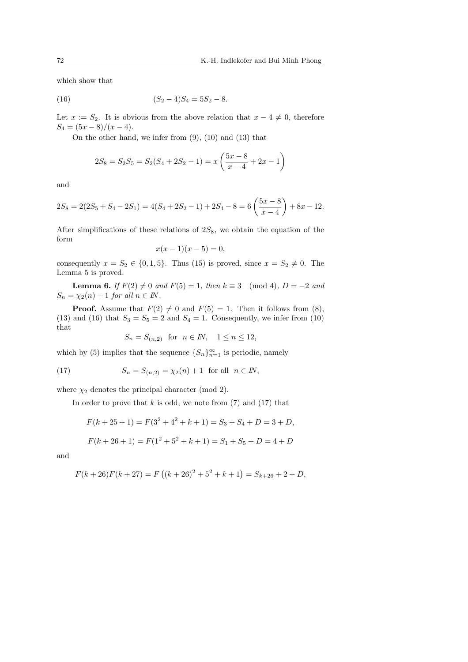which show that

(16) 
$$
(S_2 - 4)S_4 = 5S_2 - 8.
$$

Let  $x := S_2$ . It is obvious from the above relation that  $x - 4 \neq 0$ , therefore  $S_4 = (5x - 8)/(x - 4).$ 

On the other hand, we infer from (9), (10) and (13) that

$$
2S_8 = S_2S_5 = S_2(S_4 + 2S_2 - 1) = x\left(\frac{5x - 8}{x - 4} + 2x - 1\right)
$$

and

$$
2S_8 = 2(2S_5 + S_4 - 2S_1) = 4(S_4 + 2S_2 - 1) + 2S_4 - 8 = 6\left(\frac{5x - 8}{x - 4}\right) + 8x - 12.
$$

After simplifications of these relations of  $2S_8$ , we obtain the equation of the form

$$
x(x-1)(x-5) = 0,
$$

consequently  $x = S_2 \in \{0, 1, 5\}$ . Thus (15) is proved, since  $x = S_2 \neq 0$ . The Lemma 5 is proved.

**Lemma 6.** If  $F(2) \neq 0$  and  $F(5) = 1$ , then  $k \equiv 3 \pmod{4}$ ,  $D = -2$  and  $S_n = \chi_2(n) + 1$  for all  $n \in \mathbb{N}$ .

**Proof.** Assume that  $F(2) \neq 0$  and  $F(5) = 1$ . Then it follows from (8), (13) and (16) that  $S_3 = S_5 = 2$  and  $S_4 = 1$ . Consequently, we infer from (10) that

$$
S_n = S_{(n,2)} \quad \text{for} \quad n \in \mathbb{N}, \quad 1 \le n \le 12,
$$

which by (5) implies that the sequence  $\{S_n\}_{n=1}^{\infty}$  is periodic, namely

(17) 
$$
S_n = S_{(n,2)} = \chi_2(n) + 1 \text{ for all } n \in \mathbb{N},
$$

where  $\chi_2$  denotes the principal character (mod 2).

In order to prove that k is odd, we note from  $(7)$  and  $(17)$  that

$$
F(k+25+1) = F(3^2 + 4^2 + k + 1) = S_3 + S_4 + D = 3 + D,
$$

$$
F(k+26+1) = F(1^2+5^2+k+1) = S_1 + S_5 + D = 4 + D
$$

and

$$
F(k+26)F(k+27) = F((k+26)^{2} + 5^{2} + k + 1) = S_{k+26} + 2 + D,
$$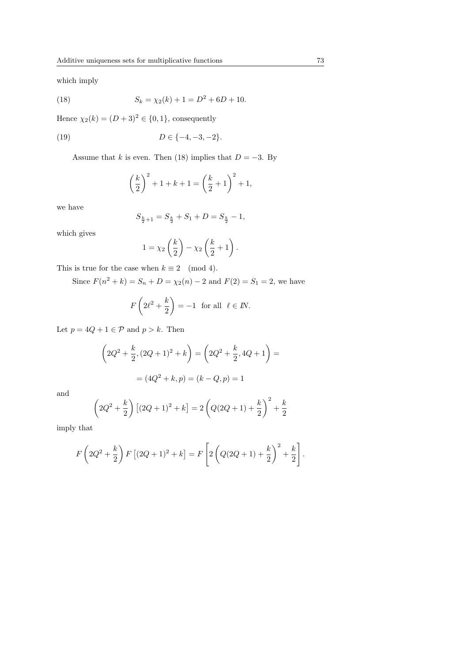which imply

(18) 
$$
S_k = \chi_2(k) + 1 = D^2 + 6D + 10.
$$

Hence  $\chi_2(k) = (D+3)^2 \in \{0,1\}$ , consequently

(19) 
$$
D \in \{-4, -3, -2\}.
$$

Assume that k is even. Then (18) implies that  $D = -3$ . By

$$
\left(\frac{k}{2}\right)^2 + 1 + k + 1 = \left(\frac{k}{2} + 1\right)^2 + 1,
$$

we have

$$
S_{\frac{k}{2}+1}=S_{\frac{k}{2}}+S_1+D=S_{\frac{k}{2}}-1,
$$

which gives

$$
1 = \chi_2\left(\frac{k}{2}\right) - \chi_2\left(\frac{k}{2} + 1\right).
$$

This is true for the case when  $k \equiv 2 \pmod{4}$ .

Since  $F(n^2 + k) = S_n + D = \chi_2(n) - 2$  and  $F(2) = S_1 = 2$ , we have

$$
F\left(2\ell^2 + \frac{k}{2}\right) = -1 \text{ for all } \ell \in \mathbb{N}.
$$

Let  $p = 4Q + 1 \in \mathcal{P}$  and  $p > k$ . Then

$$
\left(2Q^2 + \frac{k}{2}, (2Q+1)^2 + k\right) = \left(2Q^2 + \frac{k}{2}, 4Q+1\right) =
$$

$$
= (4Q^2 + k, p) = (k - Q, p) = 1
$$

and

$$
\left(2Q^2 + \frac{k}{2}\right)\left[(2Q+1)^2 + k\right] = 2\left(Q(2Q+1) + \frac{k}{2}\right)^2 + \frac{k}{2}
$$

imply that

$$
F\left(2Q^{2} + \frac{k}{2}\right) F\left[(2Q+1)^{2} + k\right] = F\left[2\left(Q(2Q+1) + \frac{k}{2}\right)^{2} + \frac{k}{2}\right].
$$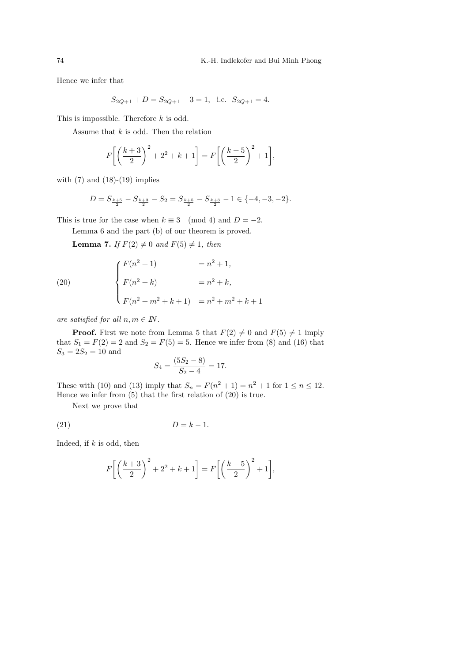Hence we infer that

$$
S_{2Q+1} + D = S_{2Q+1} - 3 = 1
$$
, i.e.  $S_{2Q+1} = 4$ .

This is impossible. Therefore k is odd.

Assume that  $k$  is odd. Then the relation

$$
F\bigg[\bigg(\frac{k+3}{2}\bigg)^2+2^2+k+1\bigg]=F\bigg[\bigg(\frac{k+5}{2}\bigg)^2+1\bigg],
$$

with  $(7)$  and  $(18)-(19)$  implies

$$
D=S_{\frac{k+5}{2}}-S_{\frac{k+3}{2}}-S_2=S_{\frac{k+5}{2}}-S_{\frac{k+3}{2}}-1\in\{-4,-3,-2\}.
$$

This is true for the case when  $k \equiv 3 \pmod{4}$  and  $D = -2$ .

Lemma 6 and the part (b) of our theorem is proved.

**Lemma 7.** If  $F(2) \neq 0$  and  $F(5) \neq 1$ , then

(20) 
$$
\begin{cases} F(n^2 + 1) &= n^2 + 1, \\ F(n^2 + k) &= n^2 + k, \\ F(n^2 + m^2 + k + 1) &= n^2 + m^2 + k + 1 \end{cases}
$$

are satisfied for all  $n, m \in \mathbb{N}$ .

**Proof.** First we note from Lemma 5 that  $F(2) \neq 0$  and  $F(5) \neq 1$  imply that  $S_1 = F(2) = 2$  and  $S_2 = F(5) = 5$ . Hence we infer from (8) and (16) that  $S_3 = 2S_2 = 10$  and

$$
S_4 = \frac{(5S_2 - 8)}{S_2 - 4} = 17.
$$

These with (10) and (13) imply that  $S_n = F(n^2 + 1) = n^2 + 1$  for  $1 \le n \le 12$ . Hence we infer from (5) that the first relation of (20) is true.

Next we prove that

$$
(21) \t\t D = k - 1.
$$

Indeed, if  $k$  is odd, then

$$
F\bigg[\bigg(\frac{k+3}{2}\bigg)^2 + 2^2 + k + 1\bigg] = F\bigg[\bigg(\frac{k+5}{2}\bigg)^2 + 1\bigg],
$$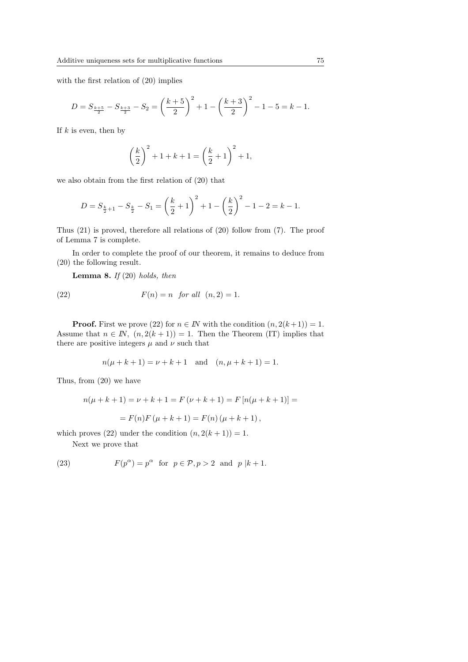with the first relation of (20) implies

$$
D = S_{\frac{k+5}{2}} - S_{\frac{k+3}{2}} - S_2 = \left(\frac{k+5}{2}\right)^2 + 1 - \left(\frac{k+3}{2}\right)^2 - 1 - 5 = k - 1.
$$

If  $k$  is even, then by

$$
\left(\frac{k}{2}\right)^2 + 1 + k + 1 = \left(\frac{k}{2} + 1\right)^2 + 1,
$$

we also obtain from the first relation of (20) that

$$
D = S_{\frac{k}{2}+1} - S_{\frac{k}{2}} - S_1 = \left(\frac{k}{2} + 1\right)^2 + 1 - \left(\frac{k}{2}\right)^2 - 1 - 2 = k - 1.
$$

Thus (21) is proved, therefore all relations of (20) follow from (7). The proof of Lemma 7 is complete.

In order to complete the proof of our theorem, it remains to deduce from (20) the following result.

**Lemma 8.** If  $(20)$  holds, then

(22) 
$$
F(n) = n \quad \text{for all} \quad (n, 2) = 1.
$$

**Proof.** First we prove (22) for  $n \in \mathbb{N}$  with the condition  $(n, 2(k+1)) = 1$ . Assume that  $n \in \mathbb{N}$ ,  $(n, 2(k+1)) = 1$ . Then the Theorem (IT) implies that there are positive integers  $\mu$  and  $\nu$  such that

$$
n(\mu + k + 1) = \nu + k + 1
$$
 and  $(n, \mu + k + 1) = 1$ .

Thus, from (20) we have

$$
n(\mu + k + 1) = \nu + k + 1 = F(\nu + k + 1) = F[n(\mu + k + 1)] =
$$
  
= F(n)F(\mu + k + 1) = F(n)(\mu + k + 1),

which proves (22) under the condition  $(n, 2(k + 1)) = 1$ .

Next we prove that

(23) 
$$
F(p^{\alpha}) = p^{\alpha} \text{ for } p \in \mathcal{P}, p > 2 \text{ and } p | k + 1.
$$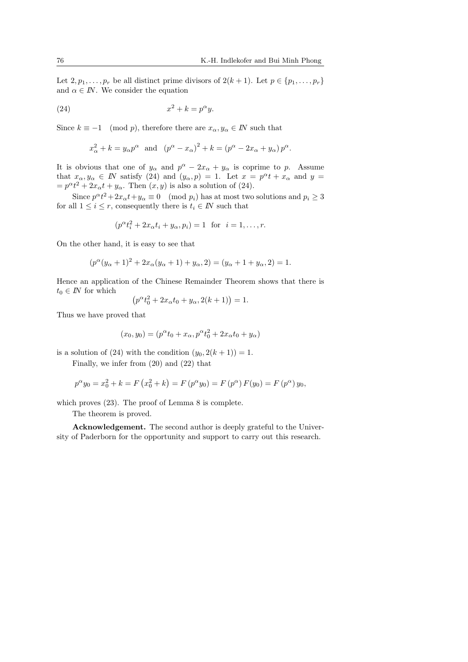Let  $2, p_1, \ldots, p_r$  be all distinct prime divisors of  $2(k + 1)$ . Let  $p \in \{p_1, \ldots, p_r\}$ and  $\alpha \in I\!N$ . We consider the equation

$$
(24) \t\t x2 + k = p\alphay.
$$

Since  $k \equiv -1 \pmod{p}$ , therefore there are  $x_{\alpha}, y_{\alpha} \in \mathbb{N}$  such that

$$
x_{\alpha}^{2} + k = y_{\alpha}p^{\alpha}
$$
 and  $(p^{\alpha} - x_{\alpha})^{2} + k = (p^{\alpha} - 2x_{\alpha} + y_{\alpha})p^{\alpha}$ .

It is obvious that one of  $y_\alpha$  and  $p^\alpha - 2x_\alpha + y_\alpha$  is coprime to p. Assume that  $x_{\alpha}, y_{\alpha} \in \mathbb{N}$  satisfy (24) and  $(y_{\alpha}, p) = 1$ . Let  $x = p^{\alpha}t + x_{\alpha}$  and  $y =$  $=p^{\alpha}t^2+2x_{\alpha}t+y_{\alpha}$ . Then  $(x, y)$  is also a solution of (24).

Since  $p^{\alpha}t^2 + 2x_{\alpha}t + y_{\alpha} \equiv 0 \pmod{p_i}$  has at most two solutions and  $p_i \ge 3$ for all  $1 \leq i \leq r$ , consequently there is  $t_i \in \mathbb{N}$  such that

$$
(p^{\alpha}t_i^2 + 2x_{\alpha}t_i + y_{\alpha}, p_i) = 1
$$
 for  $i = 1, ..., r$ .

On the other hand, it is easy to see that

$$
(p^{\alpha}(y_{\alpha} + 1)^{2} + 2x_{\alpha}(y_{\alpha} + 1) + y_{\alpha}, 2) = (y_{\alpha} + 1 + y_{\alpha}, 2) = 1.
$$

Hence an application of the Chinese Remainder Theorem shows that there is  $t_0 \in I\!N$  for which ¡

$$
(p^{\alpha}t_0^2 + 2x_{\alpha}t_0 + y_{\alpha}, 2(k+1)) = 1.
$$

Thus we have proved that

$$
(x_0, y_0) = (p^{\alpha}t_0 + x_{\alpha}, p^{\alpha}t_0^2 + 2x_{\alpha}t_0 + y_{\alpha})
$$

is a solution of (24) with the condition  $(y_0, 2(k+1)) = 1$ .

Finally, we infer from (20) and (22) that

$$
p^{\alpha}y_0 = x_0^2 + k = F(x_0^2 + k) = F(p^{\alpha}y_0) = F(p^{\alpha}) F(y_0) = F(p^{\alpha}) y_0,
$$

which proves (23). The proof of Lemma 8 is complete.

The theorem is proved.

Acknowledgement. The second author is deeply grateful to the University of Paderborn for the opportunity and support to carry out this research.